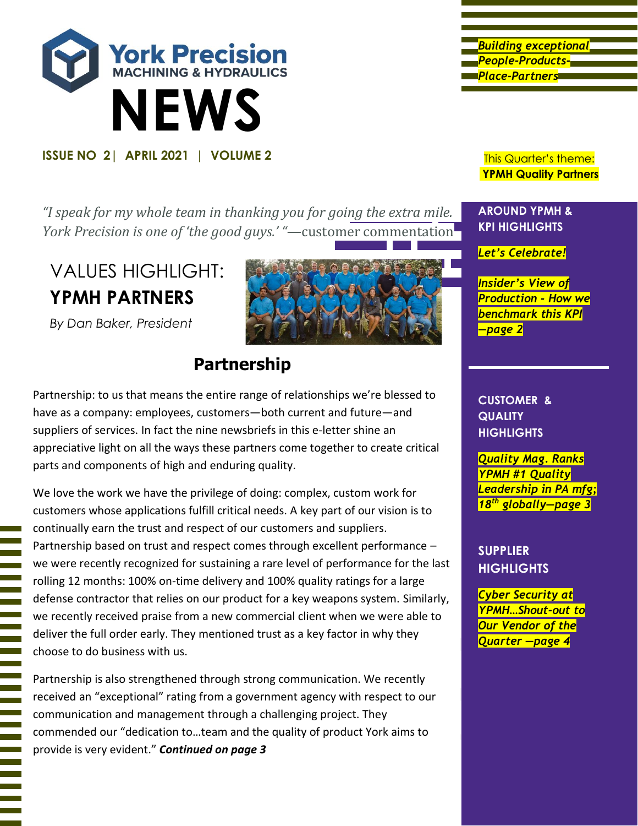

*"I speak for my whole team in thanking you for going the extra mile. York Precision is one of 'the good guys.' "—*customer commentation

# VALUES HIGHLIGHT: **YPMH PARTNERS**



*By Dan Baker, President*

# **Partnership**

Partnership: to us that means the entire range of relationships we're blessed to have as a company: employees, customers—both current and future—and suppliers of services. In fact the nine newsbriefs in this e-letter shine an appreciative light on all the ways these partners come together to create critical parts and components of high and enduring quality.

We love the work we have the privilege of doing: complex, custom work for customers whose applications fulfill critical needs. A key part of our vision is to continually earn the trust and respect of our customers and suppliers. Partnership based on trust and respect comes through excellent performance – we were recently recognized for sustaining a rare level of performance for the last rolling 12 months: 100% on-time delivery and 100% quality ratings for a large defense contractor that relies on our product for a key weapons system. Similarly, we recently received praise from a new commercial client when we were able to deliver the full order early. They mentioned trust as a key factor in why they choose to do business with us.

Partnership is also strengthened through strong communication. We recently received an "exceptional" rating from a government agency with respect to our communication and management through a challenging project. They commended our "dedication to…team and the quality of product York aims to provide is very evident." *Continued on page 3*

*Building exceptional People-Products-Place-Partners* 

**YPMH Quality Partners**

#### **AROUND YPMH & KPI HIGHLIGHTS**

*Let's Celebrate!*

*Insider's View of Production - How we benchmark this KPI —page 2*

**CUSTOMER & QUALITY HIGHLIGHTS**

*Quality Mag. Ranks YPMH #1 Quality Leadership in PA mfg; 18th globally—page 3*

**SUPPLIER HIGHLIGHTS**

*Cyber Security at YPMH…Shout-out to Our Vendor of the Quarter —page 4*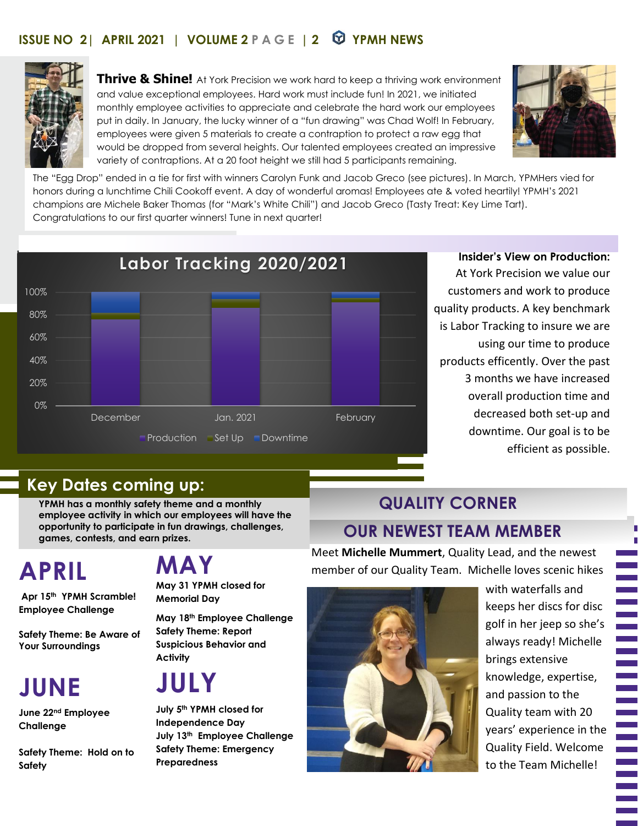### **ISSUE NO 2| APRIL 2021 | VOLUME 2 PAGE | 2 YPMH NEWS**



**Thrive & Shine!** At York Precision we work hard to keep a thriving work environment and value exceptional employees. Hard work must include fun! In 2021, we initiated monthly employee activities to appreciate and celebrate the hard work our employees put in daily. In January, the lucky winner of a "fun drawing" was Chad Wolf! In February, employees were given 5 materials to create a contraption to protect a raw egg that would be dropped from several heights. Our talented employees created an impressive variety of contraptions. At a 20 foot height we still had 5 participants remaining.



The "Egg Drop" ended in a tie for first with winners Carolyn Funk and Jacob Greco (see pictures). In March, YPMHers vied for honors during a lunchtime Chili Cookoff event. A day of wonderful aromas! Employees ate & voted heartily! YPMH's 2021 champions are Michele Baker Thomas (for "Mark's White Chili") and Jacob Greco (Tasty Treat: Key Lime Tart). Congratulations to our first quarter winners! Tune in next quarter!



**Insider's View on Production:**  At York Precision we value our customers and work to produce quality products. A key benchmark is Labor Tracking to insure we are using our time to produce products efficently. Over the past 3 months we have increased overall production time and decreased both set-up and downtime. Our goal is to be efficient as possible.

### **Key Dates coming up:**

**YPMH has a monthly safety theme and a monthly employee activity in which our employees will have the opportunity to participate in fun drawings, challenges, games, contests, and earn prizes.**

# **APRIL**

**Apr 15th YPMH Scramble! Employee Challenge**

**Safety Theme: Be Aware of Your Surroundings**

# **JUNE**

**June 22nd Employee Challenge**

**Safety Theme: Hold on to Safety**

# **MAY**

**May 31 YPMH closed for Memorial Day**

**May 18th Employee Challenge Safety Theme: Report Suspicious Behavior and Activity**

# **JULY**

**July 5th YPMH closed for Independence Day July 13th Employee Challenge Safety Theme: Emergency Preparedness**

## **QUALITY CORNER**

### **OUR NEWEST TEAM MEMBER**

Meet **Michelle Mummert**, Quality Lead, and the newest member of our Quality Team. Michelle loves scenic hikes



with waterfalls and keeps her discs for disc golf in her jeep so she's always ready! Michelle brings extensive knowledge, expertise, and passion to the Quality team with 20 years' experience in the Quality Field. Welcome to the Team Michelle!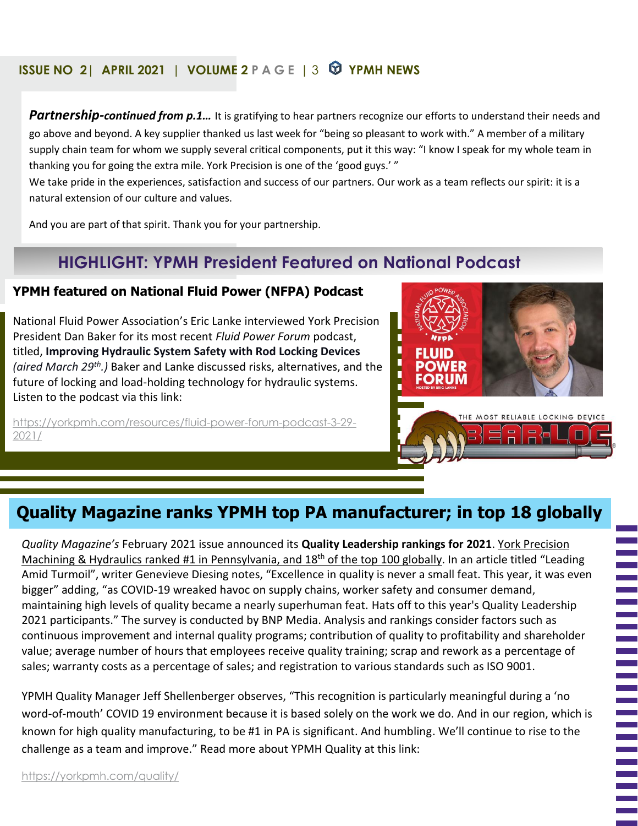### **ISSUE NO 2| APRIL 2021 | VOLUME 2 PAGE |** 3 **YPMH NEWS**

*Partnership-continued from p.1…* It is gratifying to hear partners recognize our efforts to understand their needs and go above and beyond. A key supplier thanked us last week for "being so pleasant to work with." A member of a military supply chain team for whom we supply several critical components, put it this way: "I know I speak for my whole team in thanking you for going the extra mile. York Precision is one of the 'good guys.' "

We take pride in the experiences, satisfaction and success of our partners. Our work as a team reflects our spirit: it is a natural extension of our culture and values.

And you are part of that spirit. Thank you for your partnership.

## **HIGHLIGHT: YPMH President Featured on National Podcast**

#### **YPMH featured on National Fluid Power (NFPA) Podcast**

National Fluid Power Association's Eric Lanke interviewed York Precision President Dan Baker for its most recent *Fluid Power Forum* podcast, titled, **Improving Hydraulic System Safety with Rod Locking Devices** *(aired March 29th.)* Baker and Lanke discussed risks, alternatives, and the future of locking and load-holding technology for hydraulic systems. Listen to the podcast via this link:

[https://yorkpmh.com/resources/fluid-power-forum-podcast-3-29-](https://yorkpmh.com/resources/fluid-power-forum-podcast-3-29-2021/) [2021/](https://yorkpmh.com/resources/fluid-power-forum-podcast-3-29-2021/)



## **Quality Magazine ranks YPMH top PA manufacturer; in top 18 globally**

*Quality Magazine's* February 2021 issue announced its **Quality Leadership rankings for 2021**. York Precision Machining & Hydraulics ranked #1 in Pennsylvania, and 18<sup>th</sup> of the top 100 globally. In an article titled "Leading Amid Turmoil", writer Genevieve Diesing notes, "Excellence in quality is never a small feat. This year, it was even bigger" adding, "as COVID-19 wreaked havoc on supply chains, worker safety and consumer demand, maintaining high levels of quality became a nearly superhuman feat. Hats off to this year's Quality Leadership 2021 participants." The survey is conducted by BNP Media. Analysis and rankings consider factors such as continuous improvement and internal quality programs; contribution of quality to profitability and shareholder value; average number of hours that employees receive quality training; scrap and rework as a percentage of sales; warranty costs as a percentage of sales; and registration to various standards such as ISO 9001.

YPMH Quality Manager Jeff Shellenberger observes, "This recognition is particularly meaningful during a 'no word-of-mouth' COVID 19 environment because it is based solely on the work we do. And in our region, which is known for high quality manufacturing, to be #1 in PA is significant. And humbling. We'll continue to rise to the challenge as a team and improve." Read more about YPMH Quality at this link:

<https://yorkpmh.com/quality/>